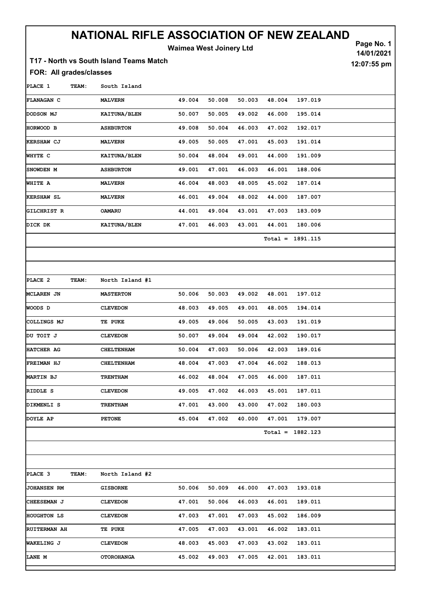## NATIONAL RIFLE ASSOCIATION OF NEW ZEALAND

Waimea West Joinery Ltd

Page No. 1

14/01/2021

12:07:55 pm

### T17 - North vs South Island Teams Match

#### FOR: All grades/classes

PLACE 1 TEAM: South Island FLANAGAN C MALVERN 49.004 50.008 50.003 48.004 197.019 DODSON MJ KAITUNA/BLEN 50.007 50.005 49.002 46.000 195.014 HORWOOD B ASHBURTON 49.008 50.004 46.003 47.002 192.017 KERSHAW CJ MALVERN 49.005 50.005 47.001 45.003 191.014 WHYTE C KAITUNA/BLEN 50.004 48.004 49.001 44.000 191.009 SNOWDEN M ASHBURTON 49.001 47.001 46.003 46.001 188.006

Total = 1891.115

WHITE A MALVERN 46.004 48.003 48.005 45.002 187.014 KERSHAW SL MALVERN 46.001 49.004 48.002 44.000 187.007 GILCHRIST R OAMARU 44.001 49.004 43.001 47.003 183.009 DICK DK KAITUNA/BLEN 47.001 46.003 43.001 44.001 180.006

| PLACE 2           | TEAM: | North Island #1   |        |        |        |        |                    |  |
|-------------------|-------|-------------------|--------|--------|--------|--------|--------------------|--|
| MCLAREN JN        |       | <b>MASTERTON</b>  | 50.006 | 50.003 | 49.002 | 48.001 | 197.012            |  |
| WOODS D           |       | <b>CLEVEDON</b>   | 48.003 | 49.005 | 49.001 | 48.005 | 194.014            |  |
| COLLINGS MJ       |       | TE PUKE           | 49.005 | 49.006 | 50.005 | 43.003 | 191.019            |  |
| DU TOIT J         |       | <b>CLEVEDON</b>   | 50.007 | 49.004 | 49.004 | 42.002 | 190.017            |  |
| HATCHER AG        |       | <b>CHELTENHAM</b> | 50.004 | 47.003 | 50.006 | 42.003 | 189.016            |  |
| <b>FREIMAN HJ</b> |       | <b>CHELTENHAM</b> | 48.004 | 47.003 | 47.004 | 46.002 | 188.013            |  |
| MARTIN BJ         |       | <b>TRENTHAM</b>   | 46.002 | 48.004 | 47.005 | 46.000 | 187.011            |  |
| RIDDLE S          |       | <b>CLEVEDON</b>   | 49.005 | 47.002 | 46.003 | 45.001 | 187.011            |  |
| DIKMENLI S        |       | <b>TRENTHAM</b>   | 47.001 | 43.000 | 43.000 | 47.002 | 180.003            |  |
| DOYLE AP          |       | <b>PETONE</b>     | 45.004 | 47.002 | 40.000 | 47.001 | 179.007            |  |
|                   |       |                   |        |        |        |        | $Total = 1882.123$ |  |
|                   |       |                   |        |        |        |        |                    |  |
|                   |       |                   |        |        |        |        |                    |  |
| PLACE 3           | TEAM: | North Island #2   |        |        |        |        |                    |  |

| <b>JOHANSEN RM</b>   | <b>GISBORNE</b>   | 50.006 | 50.009 | 46.000 | 47.003 | 193.018 |
|----------------------|-------------------|--------|--------|--------|--------|---------|
| <b>CHEESEMAN J</b>   | <b>CLEVEDON</b>   | 47.001 | 50.006 | 46.003 | 46.001 | 189.011 |
| HOUGHTON LS          | <b>CLEVEDON</b>   | 47.003 | 47.001 | 47.003 | 45.002 | 186.009 |
| <b>IRUITERMAN AH</b> | TE PUKE           | 47.005 | 47.003 | 43.001 | 46.002 | 183.011 |
| WAKELING J           | <b>CLEVEDON</b>   | 48.003 | 45.003 | 47.003 | 43.002 | 183.011 |
| LANE M               | <b>OTOROHANGA</b> | 45.002 | 49.003 | 47.005 | 42.001 | 183.011 |
|                      |                   |        |        |        |        |         |